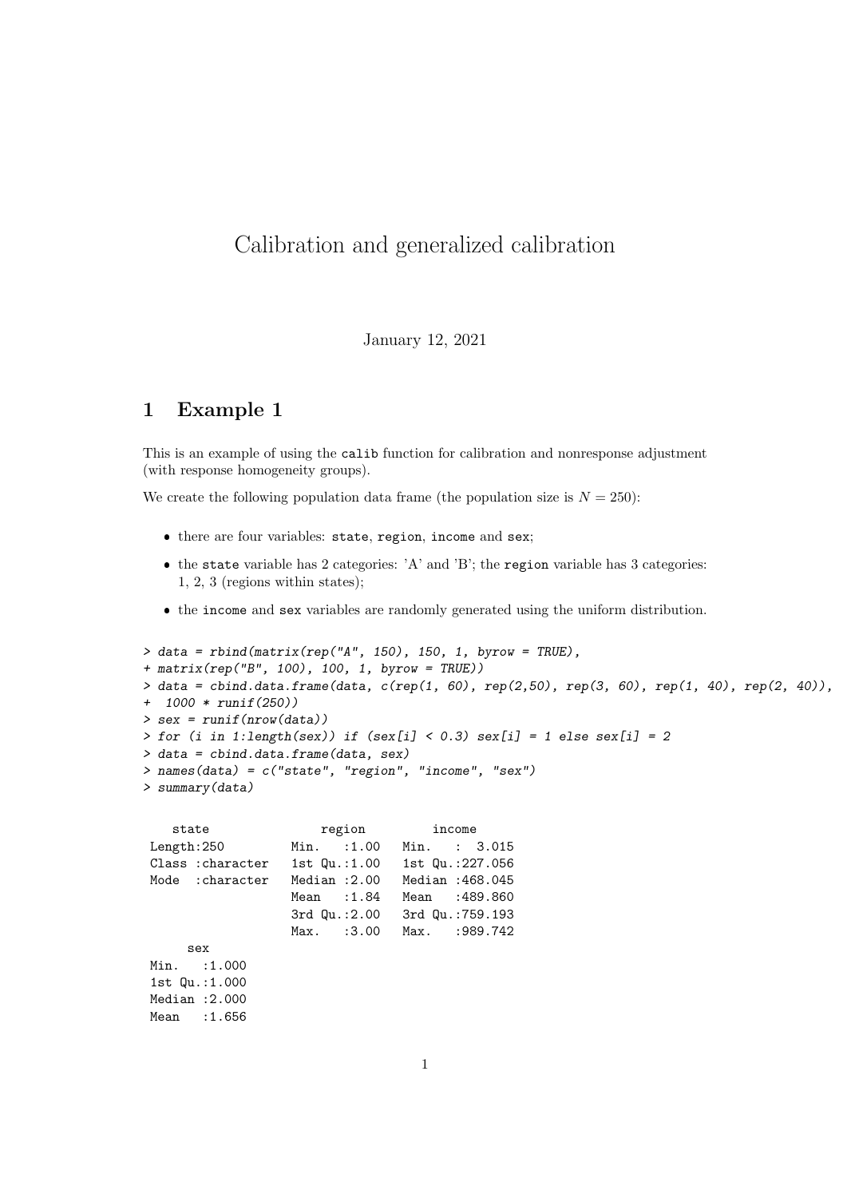# Calibration and generalized calibration

#### January 12, 2021

## 1 Example 1

This is an example of using the calib function for calibration and nonresponse adjustment (with response homogeneity groups).

We create the following population data frame (the population size is  $N = 250$ ):

- there are four variables: state, region, income and sex;
- $\bullet$  the state variable has 2 categories: 'A' and 'B'; the region variable has 3 categories: 1, 2, 3 (regions within states);
- the income and sex variables are randomly generated using the uniform distribution.

```
> data = rbind(matrix(rep("A", 150), 150, 1, byrow = TRUE),
+ matrix(rep("B", 100), 100, 1, byrow = TRUE))
> data = cbind.data.frame(data, c(rep(1, 60), rep(2,50), rep(3, 60), rep(1, 40), rep(2, 40)),
+ 1000 * runif(250))
> sex = runif(nrow(data))
> for (i in 1:length(sex)) if (sex[i] < 0.3) sex[i] = 1 else sex[i] = 2
> data = cbind.data.frame(data, sex)
> names(data) = c("state", "region", "income", "sex")
> summary(data)
```

| state             | region |                   | income |                  |
|-------------------|--------|-------------------|--------|------------------|
| Length:250        |        | $Min.$ :1.00      |        | Min. : 3.015     |
| Class : character |        | $1st$ Qu.: $1.00$ |        | 1st Qu.:227.056  |
| Mode : character  |        | Median $:2.00$    |        | Median : 468.045 |
|                   |        | Mean $:1.84$      |        | Mean : 489.860   |
|                   |        | $3rd$ Qu.: $2.00$ |        | 3rd Qu.:759.193  |
|                   |        | Max. : 3.00       |        | Max. : 989.742   |
| sex               |        |                   |        |                  |
| $Min.$ : 1.000    |        |                   |        |                  |
| 1st $Qu.:1.000$   |        |                   |        |                  |
| Median $:2.000$   |        |                   |        |                  |
| Mean : 1.656      |        |                   |        |                  |
|                   |        |                   |        |                  |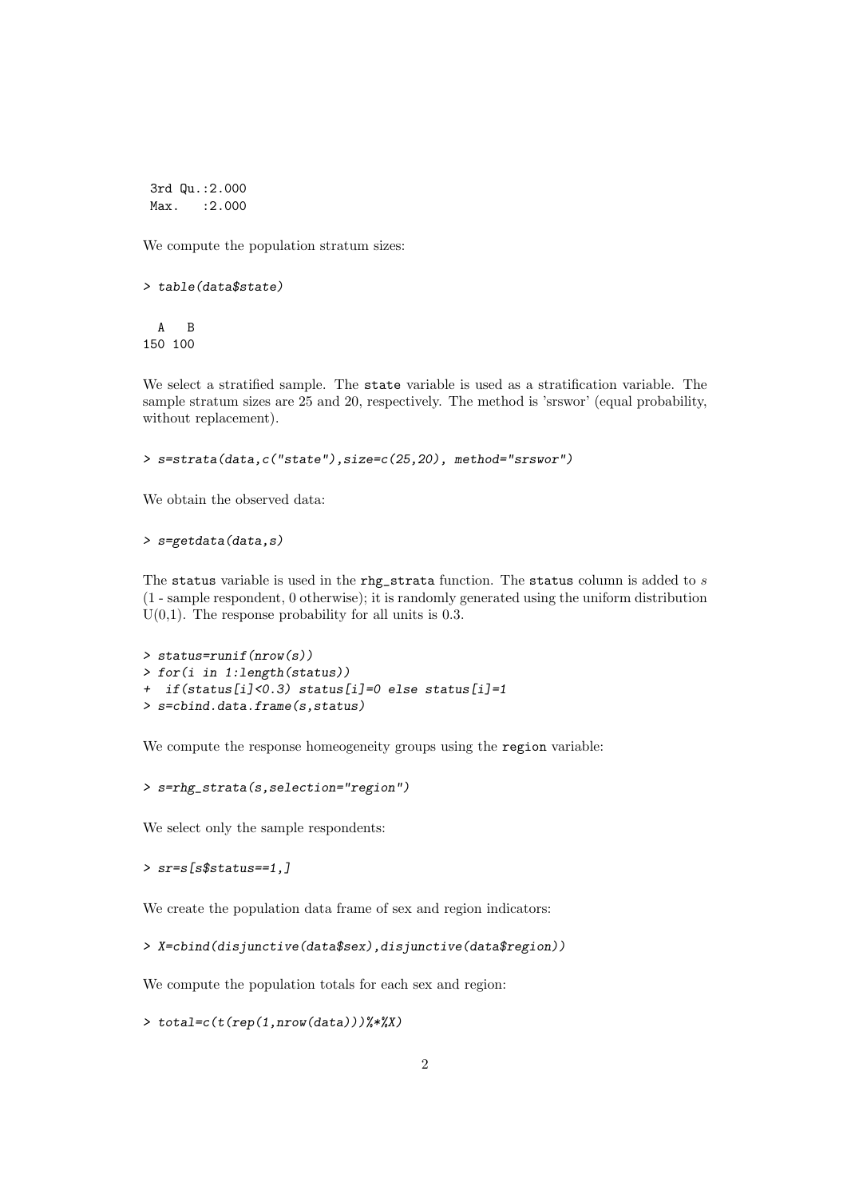3rd Qu.:2.000 Max. : 2.000

We compute the population stratum sizes:

```
> table(data$state)
```
A B 150 100

We select a stratified sample. The state variable is used as a stratification variable. The sample stratum sizes are 25 and 20, respectively. The method is 'srswor' (equal probability, without replacement).

```
> s=strata(data,c("state"),size=c(25,20), method="srswor")
```
We obtain the observed data:

> s=getdata(data,s)

The status variable is used in the rhg\_strata function. The status column is added to s (1 - sample respondent, 0 otherwise); it is randomly generated using the uniform distribution  $U(0,1)$ . The response probability for all units is 0.3.

```
> status=runif(nrow(s))
> for(i in 1:length(status))
+ if(status[i]<0.3) status[i]=0 else status[i]=1
> s=cbind.data.frame(s,status)
```
We compute the response homeogeneity groups using the region variable:

> s=rhg\_strata(s,selection="region")

We select only the sample respondents:

```
> sr=s[s$status==1,]
```
We create the population data frame of sex and region indicators:

```
> X=cbind(disjunctive(data$sex),disjunctive(data$region))
```
We compute the population totals for each sex and region:

```
> total=c(t(rep(1,nrow(data)))%*%X)
```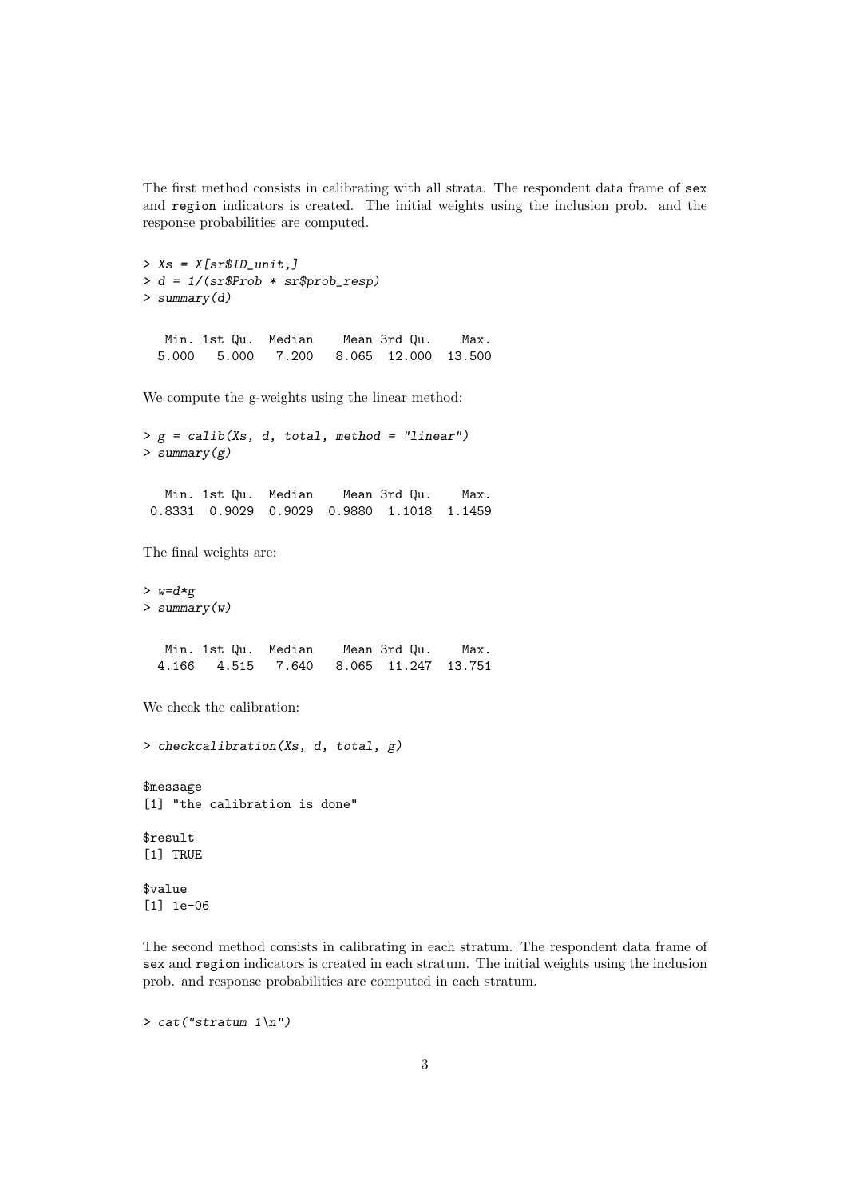The first method consists in calibrating with all strata. The respondent data frame of sex and region indicators is created. The initial weights using the inclusion prob. and the response probabilities are computed.

```
> Xs = X[sr$ID\_unit.]> d = 1/(sr$Prob * sr$prob_resp)
> summary(d)
  Min. 1st Qu. Median Mean 3rd Qu. Max.
 5.000 5.000 7.200 8.065 12.000 13.500
```
We compute the g-weights using the linear method:

 $> g = calib(Xs, d, total, method = "linear")$ > summary(g)

Min. 1st Qu. Median Mean 3rd Qu. Max. 0.8331 0.9029 0.9029 0.9880 1.1018 1.1459

The final weights are:

 $> w=d*g$ > summary(w)

| Min. 1st Qu.  Median | Mean 3rd Qu. | Max. |
|----------------------|--------------|------|
|                      |              |      |

We check the calibration:

> checkcalibration(Xs, d, total, g)

\$message [1] "the calibration is done"

\$result [1] TRUE

\$value [1] 1e-06

The second method consists in calibrating in each stratum. The respondent data frame of sex and region indicators is created in each stratum. The initial weights using the inclusion prob. and response probabilities are computed in each stratum.

 $> cat('stratum 1\,')$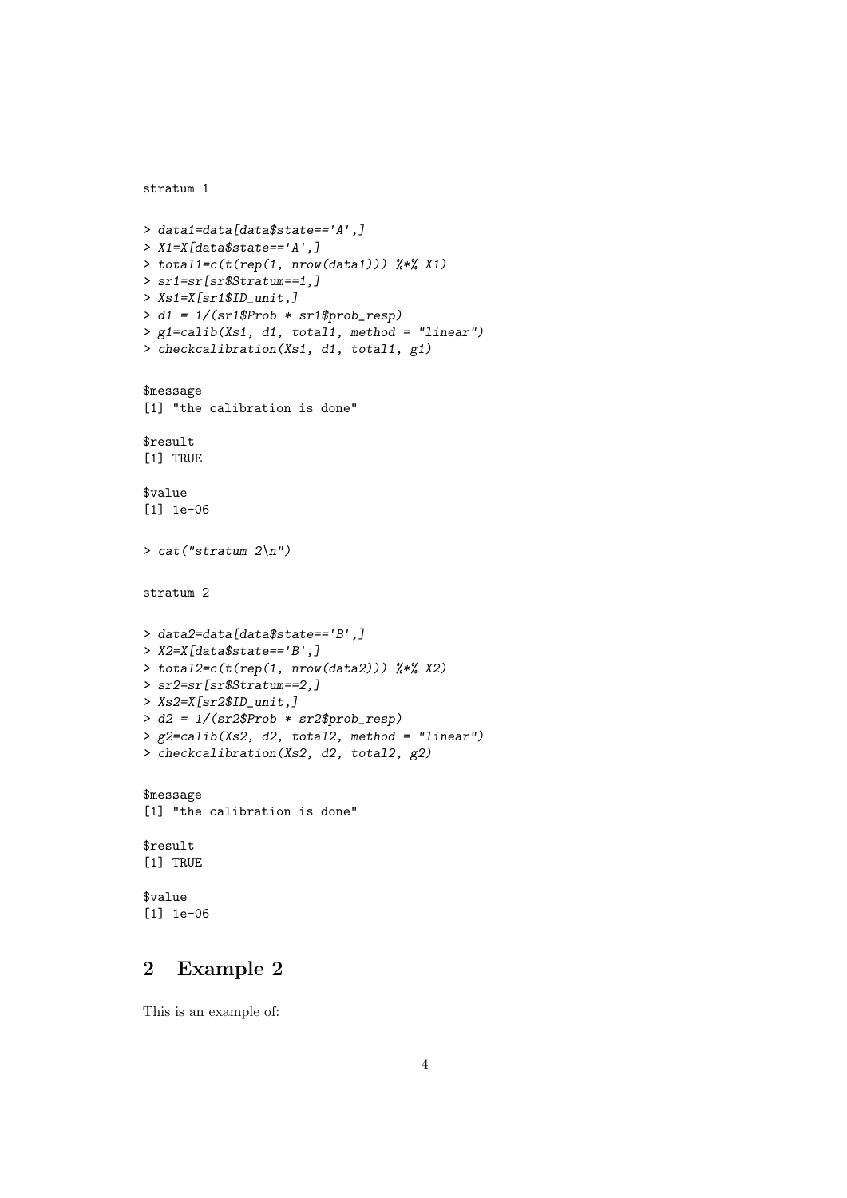```
stratum 1
> data1=data[data$state=='A',]
> X1=X[data$state=='A',]
> total1=c(t(rep(1, nrow(data1))) %*% X1)
> sr1=sr[sr$Stratum==1,]
> Xs1=X[sr1$ID_unit,]
> d1 = 1/(sr1$Prob * sr1$prob_resp)
> g1=calib(Xs1, d1, total1, method = "linear")
> checkcalibration(Xs1, d1, total1, g1)
$message
[1] "the calibration is done"
$result
[1] TRUE
$value
[1] 1e-06
> cat("stratum 2\n")
stratum 2
> data2=data[data$state=='B',]
> X2=X[data$state=='B',]
> total2=c(t(rep(1, nrow(data2))) %*% X2)
> sr2=sr[sr$Stratum==2,]
> Xs2=X[sr2$ID_unit,]
> d2 = 1/(sr2$Prob * sr2$prob_resp)
> g2=calib(Xs2, d2, total2, method = "linear")
> checkcalibration(Xs2, d2, total2, g2)
$message
[1] "the calibration is done"
$result
[1] TRUE
$value
[1] 1e-06
```
## 2 Example 2

This is an example of: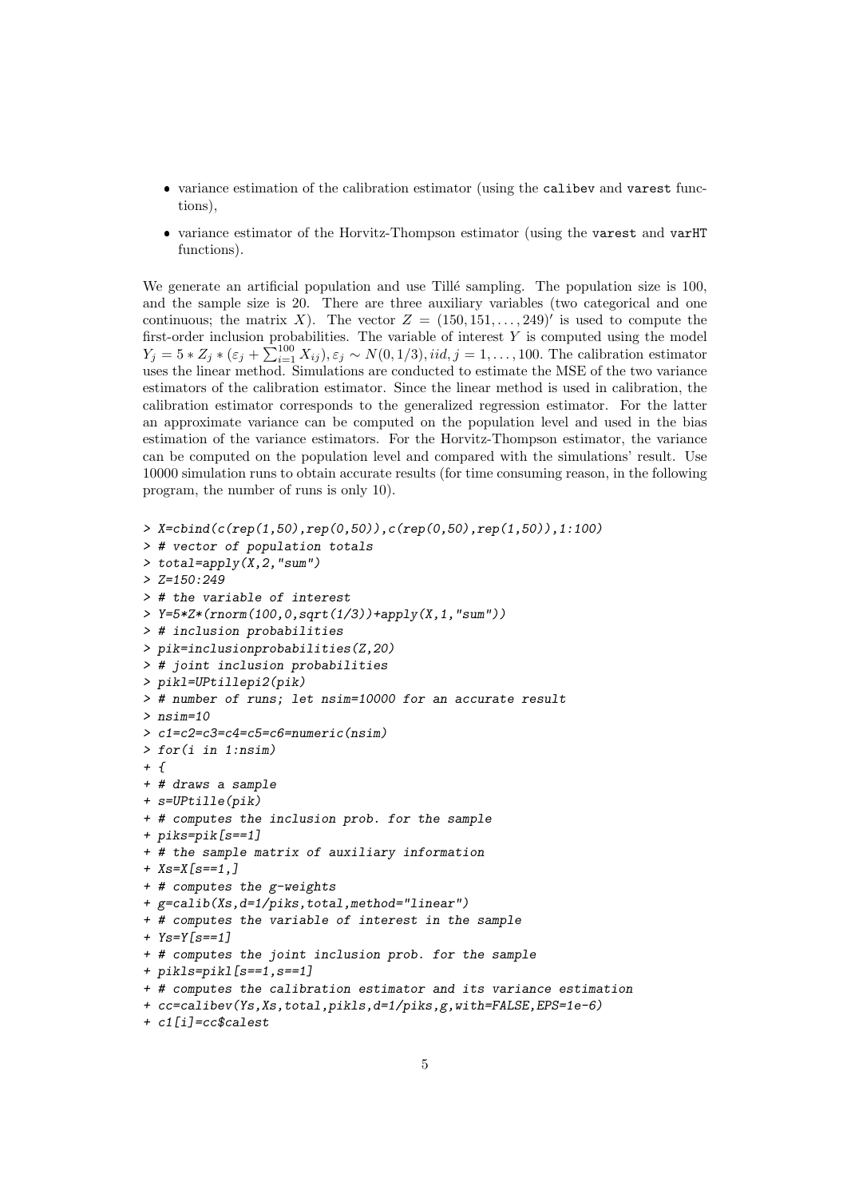- variance estimation of the calibration estimator (using the calibev and varest functions),
- variance estimator of the Horvitz-Thompson estimator (using the varest and varHT functions).

We generate an artificial population and use Tillé sampling. The population size is 100, and the sample size is 20. There are three auxiliary variables (two categorical and one continuous; the matrix X). The vector  $Z = (150, 151, \ldots, 249)'$  is used to compute the first-order inclusion probabilities. The variable of interest  $Y$  is computed using the model  $Y_j = 5 * Z_j * (\varepsilon_j + \sum_{i=1}^{100} X_{ij}), \varepsilon_j \sim N(0, 1/3), *iid*, j = 1, ..., 100$ . The calibration estimator uses the linear method. Simulations are conducted to estimate the MSE of the two variance estimators of the calibration estimator. Since the linear method is used in calibration, the calibration estimator corresponds to the generalized regression estimator. For the latter an approximate variance can be computed on the population level and used in the bias estimation of the variance estimators. For the Horvitz-Thompson estimator, the variance can be computed on the population level and compared with the simulations' result. Use 10000 simulation runs to obtain accurate results (for time consuming reason, in the following program, the number of runs is only 10).

```
> X = \text{cbind}(c(\text{rep}(1, 50), \text{rep}(0, 50)), c(\text{rep}(0, 50), \text{rep}(1, 50)), 1:100)> # vector of population totals
> total=apply(X,2,"sum")
> Z=150:249> # the variable of interest
> Y=5*Z*(rnorm(100,0,sqrt(1/3))+apply(X,1,"sum"))
> # inclusion probabilities
> pik=inclusionprobabilities(Z,20)
> # joint inclusion probabilities
> pikl=UPtillepi2(pik)
> # number of runs; let nsim=10000 for an accurate result
> nsim=10> c1=c2=c3=c4=c5=c6=numeric(nsim)
> for(i in 1:nsim)
+ f+ # draws a sample
+ s=UPtille(pik)
+ # computes the inclusion prob. for the sample
+ piks=pik[s==1]
+ # the sample matrix of auxiliary information
+ Xs = X[s == 1, ]+ # computes the g-weights
+ g=calib(Xs,d=1/piks,total,method="linear")
+ # computes the variable of interest in the sample
+ Ys=Y[s==1]
+ # computes the joint inclusion prob. for the sample
+ pikls=pikl[s==1,s==1]
+ # computes the calibration estimator and its variance estimation
+ cc=calibev(Ys,Xs,total,pikls,d=1/piks,g,with=FALSE,EPS=1e-6)
```

```
+ c1[i]=cc$calest
```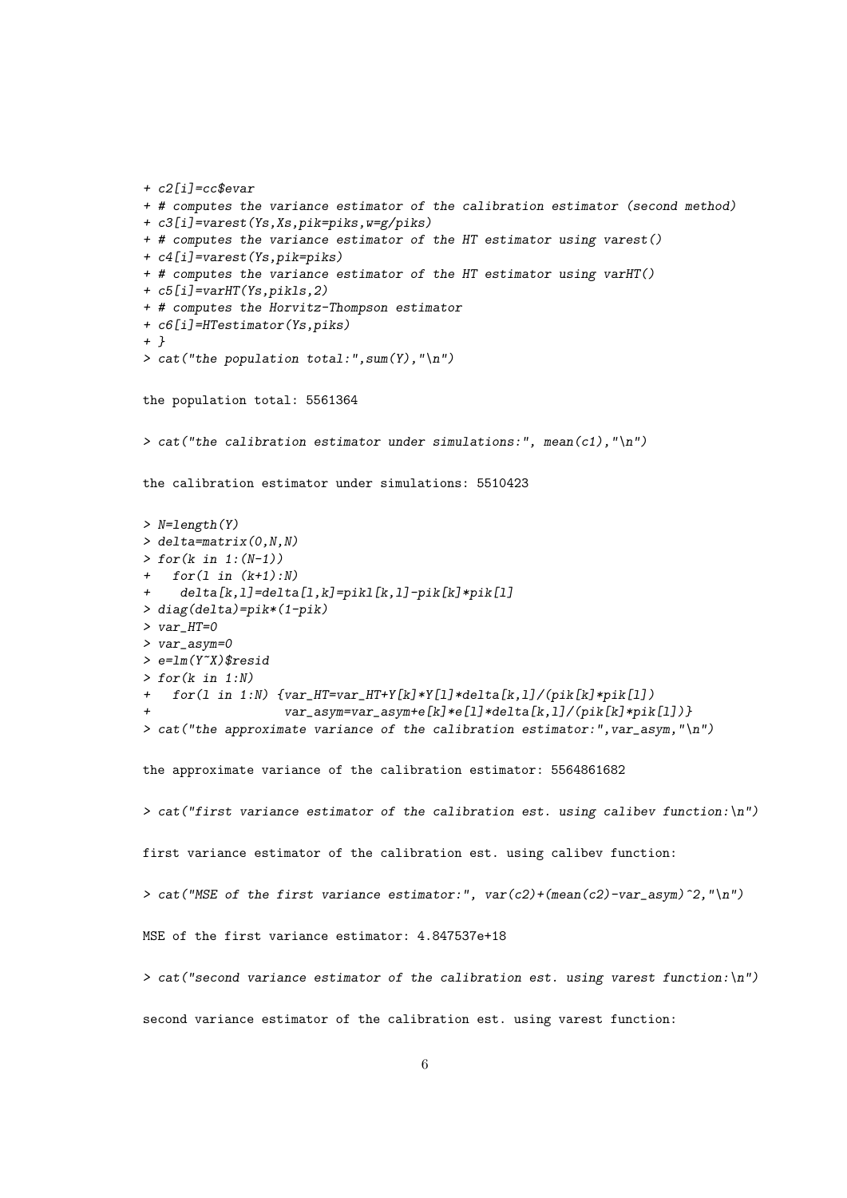```
+ c2[i]=cc$evar
+ # computes the variance estimator of the calibration estimator (second method)
+ c3[i]=varest(Ys,Xs,pik=piks,w=g/piks)
+ # computes the variance estimator of the HT estimator using varest()
+ c4[i]=varest(Ys,pik=piks)
+ # computes the variance estimator of the HT estimator using varHT()
+ c5[i]=varHT(Ys,pikls,2)
+ # computes the Horvitz-Thompson estimator
+ c6[i]=HTestimator(Ys,piks)
+ }
> cat("the population total:", sum(Y), "\n")
the population total: 5561364
> cat("the calibration estimator under simulations:", mean(c1), "\n")
the calibration estimator under simulations: 5510423
> N=length(Y)
\ge delta=matrix(0, N, N)> for(k in 1:(N-1))+ for(1 in (k+1):N)+ delta[k,l]=delta[l,k]=pikl[k,l]-pik[k]*pik[l]
> diag(delta)=pik*(1-pik)
> var_HT=0
> var_asym=0
> e=lm(Y~X)$resid
> for(k in 1:N)+ for(l in 1:N) {var_HT=var_HT+Y[k]*Y[l]*delta[k,l]/(pik[k]*pik[l])
                   var_asym=var_asym+e[k]*e[1]*delta[k,l]/(pik[k]*pik[1])> cat("the approximate variance of the calibration estimator:", var_asym, "\langle n'' \rangle")
the approximate variance of the calibration estimator: 5564861682
> cat("first variance estimator of the calibration est. using calibev function:\n")
first variance estimator of the calibration est. using calibev function:
> cat("MSE of the first variance estimator:", var(c2)+(mean(c2)-var_asym)^2, "\n")MSE of the first variance estimator: 4.847537e+18
> cat("second variance estimator of the calibration est. using varest function:\langle n'' \ranglesecond variance estimator of the calibration est. using varest function:
```

```
6
```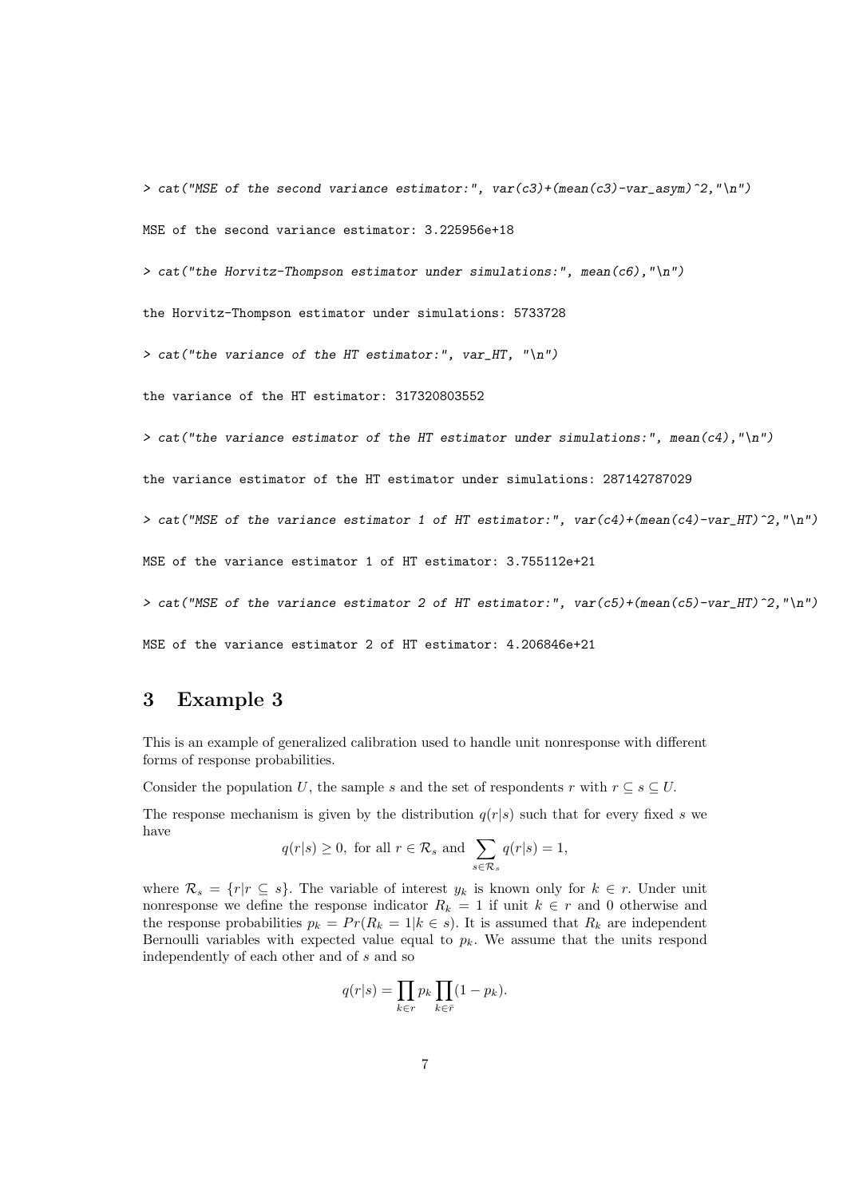> cat("MSE of the second variance estimator:",  $var(c3)+(mean(c3)-var\_{asym})^2, "\n")$ MSE of the second variance estimator: 3.225956e+18

> cat("the Horvitz-Thompson estimator under simulations:", mean(c6),"\n")

the Horvitz-Thompson estimator under simulations: 5733728

> cat("the variance of the HT estimator:",  $var_H$ HT, "\n")

the variance of the HT estimator: 317320803552

> cat("the variance estimator of the HT estimator under simulations:", mean(c4), "\n")

the variance estimator of the HT estimator under simulations: 287142787029

> cat("MSE of the variance estimator 1 of HT estimator:",  $var(c4)+(mean(c4)-var_HT)^2, "\,"$ )

MSE of the variance estimator 1 of HT estimator: 3.755112e+21

> cat("MSE of the variance estimator 2 of HT estimator:",  $var(c5)+(mean(c5)-var_HT)^2$ , "\n")

MSE of the variance estimator 2 of HT estimator: 4.206846e+21

#### 3 Example 3

This is an example of generalized calibration used to handle unit nonresponse with different forms of response probabilities.

Consider the population U, the sample s and the set of respondents r with  $r \subset s \subset U$ .

The response mechanism is given by the distribution  $q(r|s)$  such that for every fixed s we have

$$
q(r|s) \ge 0
$$
, for all  $r \in \mathcal{R}_s$  and  $\sum_{s \in \mathcal{R}_s} q(r|s) = 1$ ,

where  $\mathcal{R}_s = \{r | r \subseteq s\}$ . The variable of interest  $y_k$  is known only for  $k \in r$ . Under unit nonresponse we define the response indicator  $R_k = 1$  if unit  $k \in r$  and 0 otherwise and the response probabilities  $p_k = Pr(R_k = 1 | k \in s)$ . It is assumed that  $R_k$  are independent Bernoulli variables with expected value equal to  $p_k$ . We assume that the units respond independently of each other and of s and so

$$
q(r|s) = \prod_{k \in r} p_k \prod_{k \in \bar{r}} (1 - p_k).
$$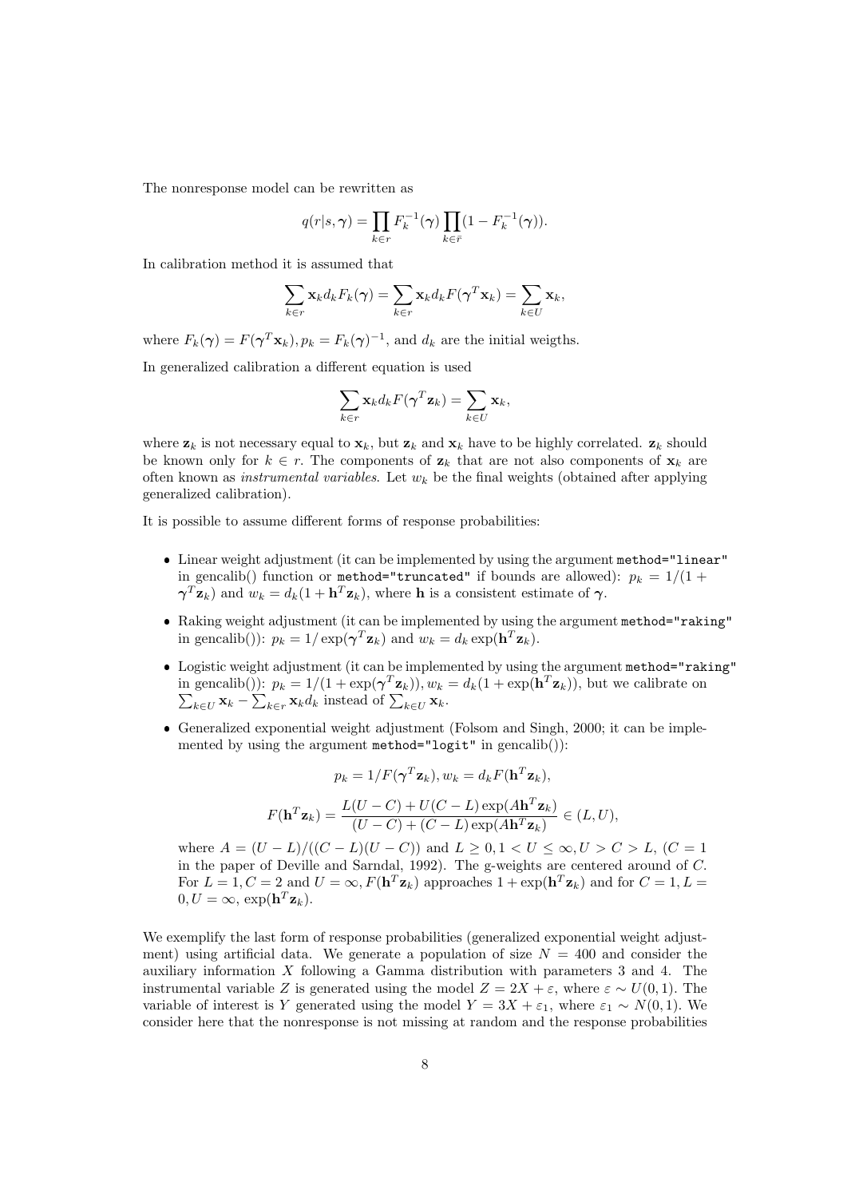The nonresponse model can be rewritten as

$$
q(r|s,\gamma) = \prod_{k \in r} F_k^{-1}(\gamma) \prod_{k \in \bar{r}} (1 - F_k^{-1}(\gamma)).
$$

In calibration method it is assumed that

$$
\sum_{k \in r} \mathbf{x}_k d_k F_k(\boldsymbol{\gamma}) = \sum_{k \in r} \mathbf{x}_k d_k F(\boldsymbol{\gamma}^T \mathbf{x}_k) = \sum_{k \in U} \mathbf{x}_k,
$$

where  $F_k(\gamma) = F(\gamma^T \mathbf{x}_k)$ ,  $p_k = F_k(\gamma)^{-1}$ , and  $d_k$  are the initial weigths.

In generalized calibration a different equation is used

$$
\sum_{k \in r} \mathbf{x}_k d_k F(\boldsymbol{\gamma}^T \mathbf{z}_k) = \sum_{k \in U} \mathbf{x}_k,
$$

where  $z_k$  is not necessary equal to  $x_k$ , but  $z_k$  and  $x_k$  have to be highly correlated.  $z_k$  should be known only for  $k \in r$ . The components of  $z_k$  that are not also components of  $x_k$  are often known as *instrumental variables*. Let  $w_k$  be the final weights (obtained after applying generalized calibration).

It is possible to assume different forms of response probabilities:

- Linear weight adjustment (it can be implemented by using the argument method="linear" in gencalib() function or method="truncated" if bounds are allowed):  $p_k = 1/(1 +$  $\boldsymbol{\gamma}^T \mathbf{z}_k$ ) and  $w_k = d_k(1 + \mathbf{h}^T \mathbf{z}_k)$ , where **h** is a consistent estimate of  $\boldsymbol{\gamma}$ .
- Raking weight adjustment (it can be implemented by using the argument method="raking" in gencalib()):  $p_k = 1/\exp(\boldsymbol{\gamma}^T \mathbf{z}_k)$  and  $w_k = d_k \exp(\mathbf{h}^T \mathbf{z}_k)$ .
- Logistic weight adjustment (it can be implemented by using the argument method="raking" in gencalib()):  $p_k = 1/(1 + \exp(\boldsymbol{\gamma}^T \mathbf{z}_k))$ ,  $w_k = d_k(1 + \exp(\mathbf{h}^T \mathbf{z}_k))$ , but we calibrate on  $\sum_{k \in U} \mathbf{x}_k - \sum_{k \in \mathbf{r}} \mathbf{x}_k d_k$  instead of  $\sum_{k \in U} \mathbf{x}_k$ .
- Generalized exponential weight adjustment (Folsom and Singh, 2000; it can be implemented by using the argument method="logit" in gencalib()):

$$
p_k = 1/F(\boldsymbol{\gamma}^T \mathbf{z}_k), w_k = d_k F(\mathbf{h}^T \mathbf{z}_k),
$$

$$
F(\mathbf{h}^T \mathbf{z}_k) = \frac{L(U - C) + U(C - L) \exp(A \mathbf{h}^T \mathbf{z}_k)}{(U - C) + (C - L) \exp(A \mathbf{h}^T \mathbf{z}_k)} \in (L, U),
$$

where  $A = (U - L)/((C - L)(U - C))$  and  $L \geq 0, 1 < U \leq \infty, U > C > L$ ,  $(C = 1)$ in the paper of Deville and Sarndal, 1992). The g-weights are centered around of  $C$ . For  $L = 1, C = 2$  and  $U = \infty, F(\mathbf{h}^T \mathbf{z}_k)$  approaches  $1 + \exp(\mathbf{h}^T \mathbf{z}_k)$  and for  $C = 1, L =$  $0, U = \infty$ ,  $\exp(\mathbf{h}^T \mathbf{z}_k)$ .

We exemplify the last form of response probabilities (generalized exponential weight adjustment) using artificial data. We generate a population of size  $N = 400$  and consider the auxiliary information X following a Gamma distribution with parameters 3 and 4. The instrumental variable Z is generated using the model  $Z = 2X + \varepsilon$ , where  $\varepsilon \sim U(0, 1)$ . The variable of interest is Y generated using the model  $Y = 3X + \varepsilon_1$ , where  $\varepsilon_1 \sim N(0, 1)$ . We consider here that the nonresponse is not missing at random and the response probabilities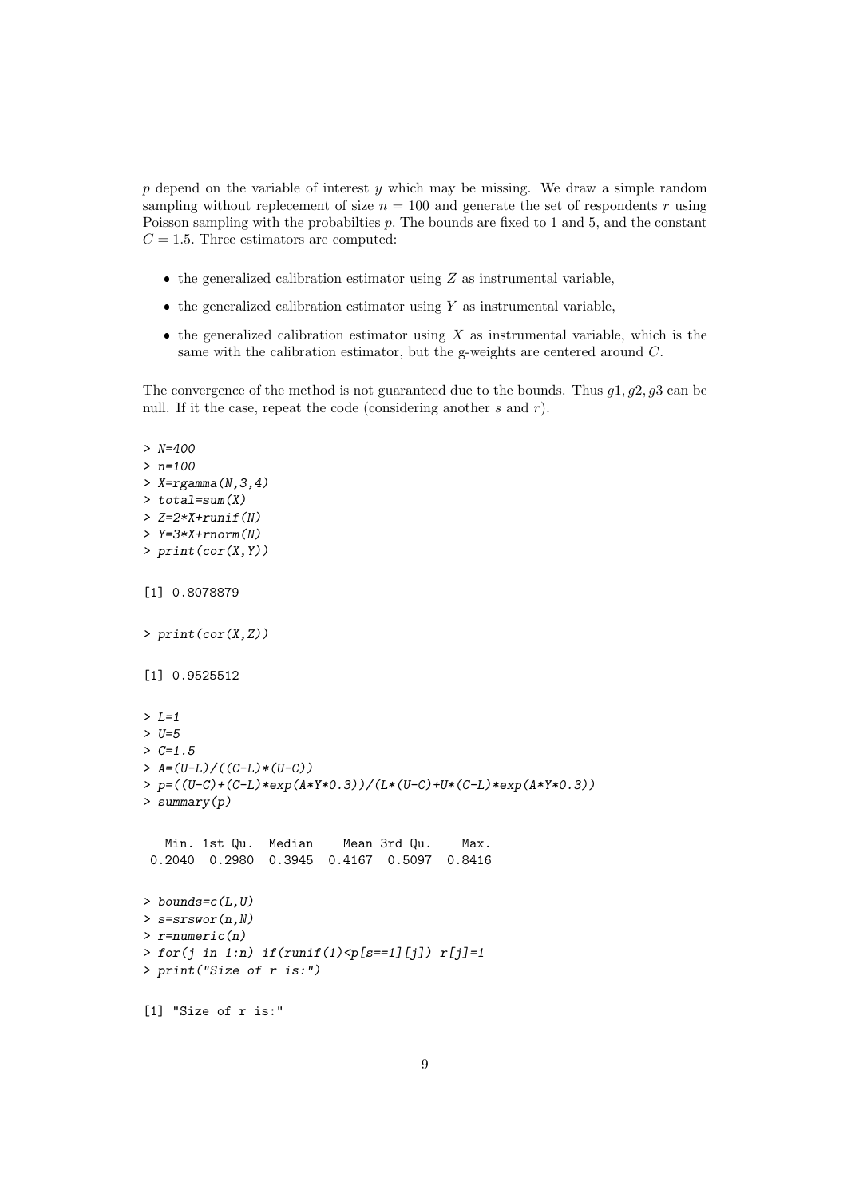$p$  depend on the variable of interest  $y$  which may be missing. We draw a simple random sampling without replecement of size  $n = 100$  and generate the set of respondents r using Poisson sampling with the probabilties p. The bounds are fixed to 1 and 5, and the constant  $C = 1.5$ . Three estimators are computed:

- $\bullet$  the generalized calibration estimator using  $Z$  as instrumental variable,
- $\bullet$  the generalized calibration estimator using Y as instrumental variable,
- $\bullet$  the generalized calibration estimator using X as instrumental variable, which is the same with the calibration estimator, but the g-weights are centered around C.

The convergence of the method is not guaranteed due to the bounds. Thus  $q_1, q_2, q_3$  can be null. If it the case, repeat the code (considering another  $s$  and  $r$ ).

```
> N=400
> n=100
> X=rgamma(N,3,4)
> total=sum(X)
> Z=2*X+runif(N)> Y=3*X+rnorm(N)
> print(cor(X,Y))[1] 0.8078879
> print(cor(X,Z))
[1] 0.9525512
> L=1> U=5
> C=1.5> A = (U-L) / ((C-L) * (U-C))> p=((U-C)+(C-L)*exp(A*Y*0.3))/(L*(U-C)+U*(C-L)*exp(A*Y*0.3))
> summary(p)
   Min. 1st Qu. Median Mean 3rd Qu. Max.
 0.2040 0.2980 0.3945 0.4167 0.5097 0.8416
> bounds=c(L,U)> s=srswor(n,N)
> r=numeric(n)
> for(j in 1:n) if(runif(1) < p[s == 1][j]) r[j]=1> print("Size of r is:")
[1] "Size of r is:"
```